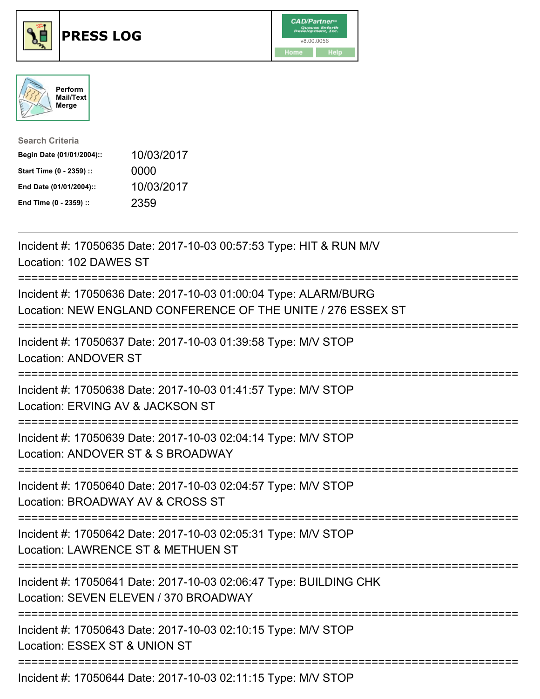





| <b>Search Criteria</b>    |            |
|---------------------------|------------|
| Begin Date (01/01/2004):: | 10/03/2017 |
| Start Time (0 - 2359) ::  | 0000       |
| End Date (01/01/2004)::   | 10/03/2017 |
| End Time (0 - 2359) ::    | 2359       |

| Incident #: 17050635 Date: 2017-10-03 00:57:53 Type: HIT & RUN M/V<br>Location: 102 DAWES ST                                    |
|---------------------------------------------------------------------------------------------------------------------------------|
| Incident #: 17050636 Date: 2017-10-03 01:00:04 Type: ALARM/BURG<br>Location: NEW ENGLAND CONFERENCE OF THE UNITE / 276 ESSEX ST |
| Incident #: 17050637 Date: 2017-10-03 01:39:58 Type: M/V STOP<br><b>Location: ANDOVER ST</b>                                    |
| Incident #: 17050638 Date: 2017-10-03 01:41:57 Type: M/V STOP<br>Location: ERVING AV & JACKSON ST                               |
| Incident #: 17050639 Date: 2017-10-03 02:04:14 Type: M/V STOP<br>Location: ANDOVER ST & S BROADWAY<br>:======================== |
| Incident #: 17050640 Date: 2017-10-03 02:04:57 Type: M/V STOP<br>Location: BROADWAY AV & CROSS ST                               |
| Incident #: 17050642 Date: 2017-10-03 02:05:31 Type: M/V STOP<br>Location: LAWRENCE ST & METHUEN ST                             |
| Incident #: 17050641 Date: 2017-10-03 02:06:47 Type: BUILDING CHK<br>Location: SEVEN ELEVEN / 370 BROADWAY                      |
| Incident #: 17050643 Date: 2017-10-03 02:10:15 Type: M/V STOP<br>Location: ESSEX ST & UNION ST                                  |
|                                                                                                                                 |

Incident #: 17050644 Date: 2017-10-03 02:11:15 Type: M/V STOP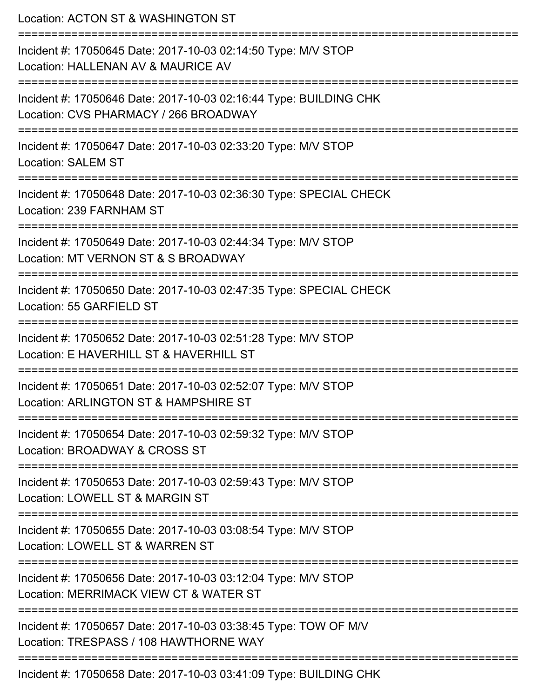Location: ACTON ST & WASHINGTON ST =========================================================================== Incident #: 17050645 Date: 2017-10-03 02:14:50 Type: M/V STOP Location: HALLENAN AV & MAURICE AV =========================================================================== Incident #: 17050646 Date: 2017-10-03 02:16:44 Type: BUILDING CHK Location: CVS PHARMACY / 266 BROADWAY =========================================================================== Incident #: 17050647 Date: 2017-10-03 02:33:20 Type: M/V STOP Location: SALEM ST =========================================================================== Incident #: 17050648 Date: 2017-10-03 02:36:30 Type: SPECIAL CHECK Location: 239 FARNHAM ST =========================================================================== Incident #: 17050649 Date: 2017-10-03 02:44:34 Type: M/V STOP Location: MT VERNON ST & S BROADWAY =========================================================================== Incident #: 17050650 Date: 2017-10-03 02:47:35 Type: SPECIAL CHECK Location: 55 GARFIELD ST =========================================================================== Incident #: 17050652 Date: 2017-10-03 02:51:28 Type: M/V STOP Location: F HAVERHILL ST & HAVERHILL ST =========================================================================== Incident #: 17050651 Date: 2017-10-03 02:52:07 Type: M/V STOP Location: ARLINGTON ST & HAMPSHIRE ST =========================================================================== Incident #: 17050654 Date: 2017-10-03 02:59:32 Type: M/V STOP Location: BROADWAY & CROSS ST =========================================================================== Incident #: 17050653 Date: 2017-10-03 02:59:43 Type: M/V STOP Location: LOWELL ST & MARGIN ST =========================================================================== Incident #: 17050655 Date: 2017-10-03 03:08:54 Type: M/V STOP Location: LOWELL ST & WARREN ST =========================================================================== Incident #: 17050656 Date: 2017-10-03 03:12:04 Type: M/V STOP Location: MERRIMACK VIEW CT & WATER ST =========================================================================== Incident #: 17050657 Date: 2017-10-03 03:38:45 Type: TOW OF M/V Location: TRESPASS / 108 HAWTHORNE WAY ===========================================================================

Incident #: 17050658 Date: 2017-10-03 03:41:09 Type: BUILDING CHK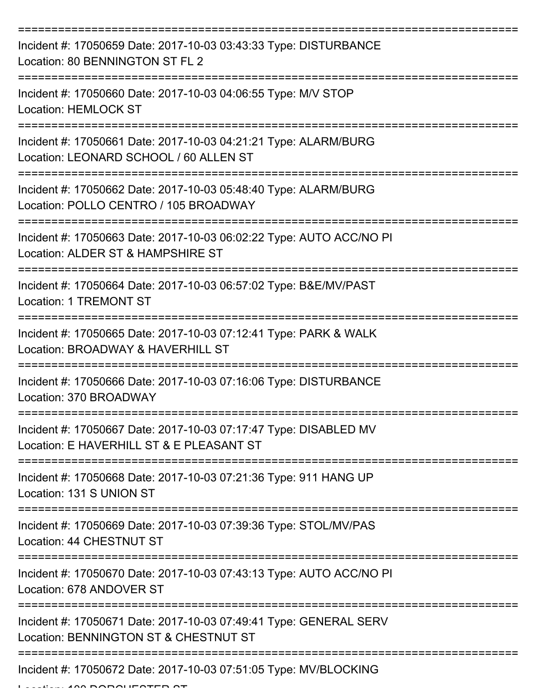| Incident #: 17050659 Date: 2017-10-03 03:43:33 Type: DISTURBANCE<br>Location: 80 BENNINGTON ST FL 2          |
|--------------------------------------------------------------------------------------------------------------|
| Incident #: 17050660 Date: 2017-10-03 04:06:55 Type: M/V STOP<br><b>Location: HEMLOCK ST</b>                 |
| Incident #: 17050661 Date: 2017-10-03 04:21:21 Type: ALARM/BURG<br>Location: LEONARD SCHOOL / 60 ALLEN ST    |
| Incident #: 17050662 Date: 2017-10-03 05:48:40 Type: ALARM/BURG<br>Location: POLLO CENTRO / 105 BROADWAY     |
| Incident #: 17050663 Date: 2017-10-03 06:02:22 Type: AUTO ACC/NO PI<br>Location: ALDER ST & HAMPSHIRE ST     |
| Incident #: 17050664 Date: 2017-10-03 06:57:02 Type: B&E/MV/PAST<br><b>Location: 1 TREMONT ST</b>            |
| Incident #: 17050665 Date: 2017-10-03 07:12:41 Type: PARK & WALK<br>Location: BROADWAY & HAVERHILL ST        |
| Incident #: 17050666 Date: 2017-10-03 07:16:06 Type: DISTURBANCE<br>Location: 370 BROADWAY                   |
| Incident #: 17050667 Date: 2017-10-03 07:17:47 Type: DISABLED MV<br>Location: E HAVERHILL ST & E PLEASANT ST |
| Incident #: 17050668 Date: 2017-10-03 07:21:36 Type: 911 HANG UP<br>Location: 131 S UNION ST                 |
| Incident #: 17050669 Date: 2017-10-03 07:39:36 Type: STOL/MV/PAS<br>Location: 44 CHESTNUT ST                 |
| Incident #: 17050670 Date: 2017-10-03 07:43:13 Type: AUTO ACC/NO PI<br>Location: 678 ANDOVER ST              |
| Incident #: 17050671 Date: 2017-10-03 07:49:41 Type: GENERAL SERV<br>Location: BENNINGTON ST & CHESTNUT ST   |
| Incident #: 17050672 Date: 2017-10-03 07:51:05 Type: MV/BLOCKING                                             |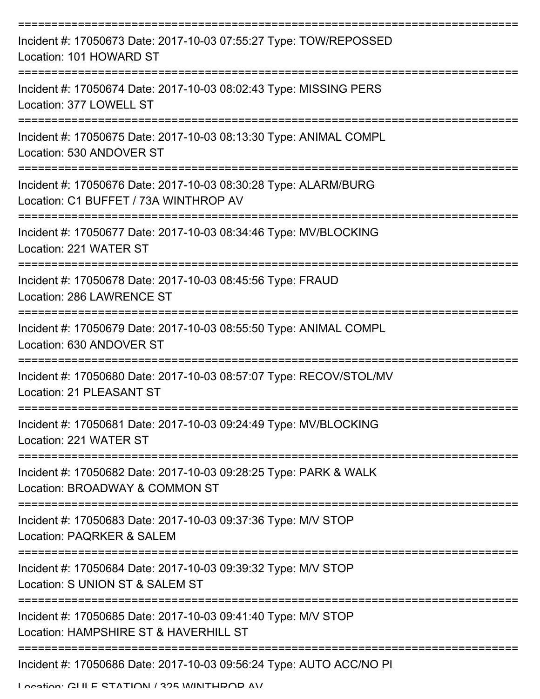| Incident #: 17050673 Date: 2017-10-03 07:55:27 Type: TOW/REPOSSED<br>Location: 101 HOWARD ST             |
|----------------------------------------------------------------------------------------------------------|
| Incident #: 17050674 Date: 2017-10-03 08:02:43 Type: MISSING PERS<br>Location: 377 LOWELL ST             |
| Incident #: 17050675 Date: 2017-10-03 08:13:30 Type: ANIMAL COMPL<br>Location: 530 ANDOVER ST            |
| Incident #: 17050676 Date: 2017-10-03 08:30:28 Type: ALARM/BURG<br>Location: C1 BUFFET / 73A WINTHROP AV |
| Incident #: 17050677 Date: 2017-10-03 08:34:46 Type: MV/BLOCKING<br>Location: 221 WATER ST               |
| Incident #: 17050678 Date: 2017-10-03 08:45:56 Type: FRAUD<br>Location: 286 LAWRENCE ST                  |
| Incident #: 17050679 Date: 2017-10-03 08:55:50 Type: ANIMAL COMPL<br>Location: 630 ANDOVER ST            |
| Incident #: 17050680 Date: 2017-10-03 08:57:07 Type: RECOV/STOL/MV<br>Location: 21 PLEASANT ST           |
| Incident #: 17050681 Date: 2017-10-03 09:24:49 Type: MV/BLOCKING<br>Location: 221 WATER ST               |
| Incident #: 17050682 Date: 2017-10-03 09:28:25 Type: PARK & WALK<br>Location: BROADWAY & COMMON ST       |
| Incident #: 17050683 Date: 2017-10-03 09:37:36 Type: M/V STOP<br>Location: PAQRKER & SALEM               |
| Incident #: 17050684 Date: 2017-10-03 09:39:32 Type: M/V STOP<br>Location: S UNION ST & SALEM ST         |
| Incident #: 17050685 Date: 2017-10-03 09:41:40 Type: M/V STOP<br>Location: HAMPSHIRE ST & HAVERHILL ST   |
| Incident #: 17050686 Date: 2017-10-03 09:56:24 Type: AUTO ACC/NO PI                                      |

Location: CLILE STATION / 325 WINTHDOD AV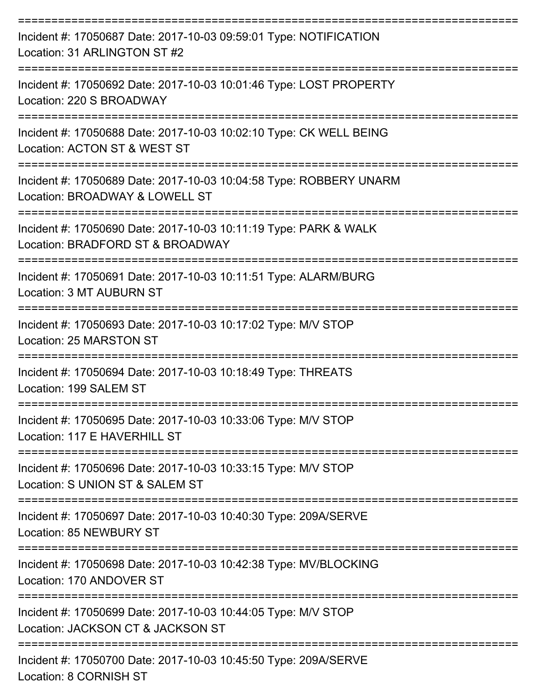| Incident #: 17050687 Date: 2017-10-03 09:59:01 Type: NOTIFICATION<br>Location: 31 ARLINGTON ST #2    |
|------------------------------------------------------------------------------------------------------|
| Incident #: 17050692 Date: 2017-10-03 10:01:46 Type: LOST PROPERTY<br>Location: 220 S BROADWAY       |
| Incident #: 17050688 Date: 2017-10-03 10:02:10 Type: CK WELL BEING<br>Location: ACTON ST & WEST ST   |
| Incident #: 17050689 Date: 2017-10-03 10:04:58 Type: ROBBERY UNARM<br>Location: BROADWAY & LOWELL ST |
| Incident #: 17050690 Date: 2017-10-03 10:11:19 Type: PARK & WALK<br>Location: BRADFORD ST & BROADWAY |
| Incident #: 17050691 Date: 2017-10-03 10:11:51 Type: ALARM/BURG<br>Location: 3 MT AUBURN ST          |
| Incident #: 17050693 Date: 2017-10-03 10:17:02 Type: M/V STOP<br>Location: 25 MARSTON ST             |
| Incident #: 17050694 Date: 2017-10-03 10:18:49 Type: THREATS<br>Location: 199 SALEM ST               |
| Incident #: 17050695 Date: 2017-10-03 10:33:06 Type: M/V STOP<br>Location: 117 E HAVERHILL ST        |
| Incident #: 17050696 Date: 2017-10-03 10:33:15 Type: M/V STOP<br>Location: S UNION ST & SALEM ST     |
| Incident #: 17050697 Date: 2017-10-03 10:40:30 Type: 209A/SERVE<br>Location: 85 NEWBURY ST           |
| Incident #: 17050698 Date: 2017-10-03 10:42:38 Type: MV/BLOCKING<br>Location: 170 ANDOVER ST         |
| Incident #: 17050699 Date: 2017-10-03 10:44:05 Type: M/V STOP<br>Location: JACKSON CT & JACKSON ST   |
| Incident #: 17050700 Date: 2017-10-03 10:45:50 Type: 209A/SERVE<br>Location: 8 CORNISH ST            |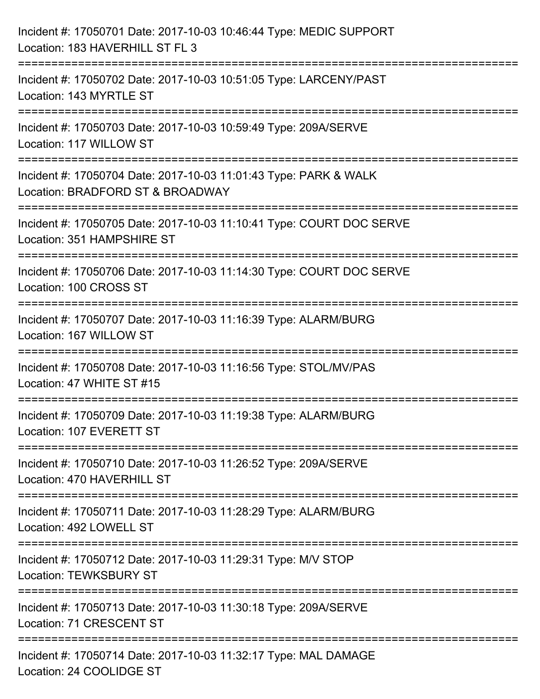| Incident #: 17050701 Date: 2017-10-03 10:46:44 Type: MEDIC SUPPORT<br>Location: 183 HAVERHILL ST FL 3                                 |
|---------------------------------------------------------------------------------------------------------------------------------------|
| ==========================<br>Incident #: 17050702 Date: 2017-10-03 10:51:05 Type: LARCENY/PAST<br>Location: 143 MYRTLE ST            |
| Incident #: 17050703 Date: 2017-10-03 10:59:49 Type: 209A/SERVE<br>Location: 117 WILLOW ST<br>================================        |
| Incident #: 17050704 Date: 2017-10-03 11:01:43 Type: PARK & WALK<br>Location: BRADFORD ST & BROADWAY                                  |
| Incident #: 17050705 Date: 2017-10-03 11:10:41 Type: COURT DOC SERVE<br>Location: 351 HAMPSHIRE ST<br>=============================== |
| Incident #: 17050706 Date: 2017-10-03 11:14:30 Type: COURT DOC SERVE<br>Location: 100 CROSS ST                                        |
| Incident #: 17050707 Date: 2017-10-03 11:16:39 Type: ALARM/BURG<br>Location: 167 WILLOW ST<br>-------------------------------         |
| Incident #: 17050708 Date: 2017-10-03 11:16:56 Type: STOL/MV/PAS<br>Location: 47 WHITE ST #15                                         |
| Incident #: 17050709 Date: 2017-10-03 11:19:38 Type: ALARM/BURG<br>Location: 107 EVERETT ST                                           |
| Incident #: 17050710 Date: 2017-10-03 11:26:52 Type: 209A/SERVE<br>Location: 470 HAVERHILL ST                                         |
| Incident #: 17050711 Date: 2017-10-03 11:28:29 Type: ALARM/BURG<br>Location: 492 LOWELL ST                                            |
| Incident #: 17050712 Date: 2017-10-03 11:29:31 Type: M/V STOP<br><b>Location: TEWKSBURY ST</b>                                        |
| Incident #: 17050713 Date: 2017-10-03 11:30:18 Type: 209A/SERVE<br>Location: 71 CRESCENT ST                                           |
| Incident #: 17050714 Date: 2017-10-03 11:32:17 Type: MAL DAMAGE<br>Location: 24 COOLIDGE ST                                           |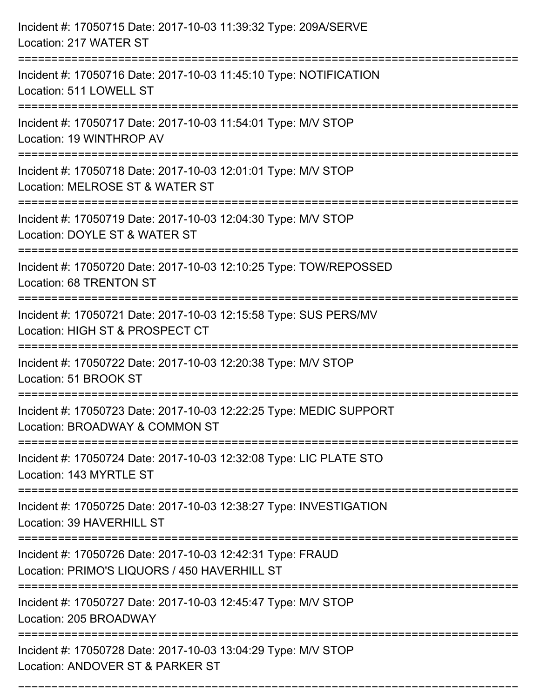| Incident #: 17050715 Date: 2017-10-03 11:39:32 Type: 209A/SERVE<br>Location: 217 WATER ST                                   |
|-----------------------------------------------------------------------------------------------------------------------------|
| Incident #: 17050716 Date: 2017-10-03 11:45:10 Type: NOTIFICATION<br>Location: 511 LOWELL ST                                |
| Incident #: 17050717 Date: 2017-10-03 11:54:01 Type: M/V STOP<br>Location: 19 WINTHROP AV<br>============================== |
| Incident #: 17050718 Date: 2017-10-03 12:01:01 Type: M/V STOP<br>Location: MELROSE ST & WATER ST                            |
| Incident #: 17050719 Date: 2017-10-03 12:04:30 Type: M/V STOP<br>Location: DOYLE ST & WATER ST                              |
| Incident #: 17050720 Date: 2017-10-03 12:10:25 Type: TOW/REPOSSED<br><b>Location: 68 TRENTON ST</b>                         |
| Incident #: 17050721 Date: 2017-10-03 12:15:58 Type: SUS PERS/MV<br>Location: HIGH ST & PROSPECT CT                         |
| Incident #: 17050722 Date: 2017-10-03 12:20:38 Type: M/V STOP<br>Location: 51 BROOK ST                                      |
| Incident #: 17050723 Date: 2017-10-03 12:22:25 Type: MEDIC SUPPORT<br>Location: BROADWAY & COMMON ST                        |
| Incident #: 17050724 Date: 2017-10-03 12:32:08 Type: LIC PLATE STO<br>Location: 143 MYRTLE ST                               |
| Incident #: 17050725 Date: 2017-10-03 12:38:27 Type: INVESTIGATION<br>Location: 39 HAVERHILL ST                             |
| Incident #: 17050726 Date: 2017-10-03 12:42:31 Type: FRAUD<br>Location: PRIMO'S LIQUORS / 450 HAVERHILL ST                  |
| Incident #: 17050727 Date: 2017-10-03 12:45:47 Type: M/V STOP<br>Location: 205 BROADWAY                                     |
| Incident #: 17050728 Date: 2017-10-03 13:04:29 Type: M/V STOP<br>Location: ANDOVER ST & PARKER ST                           |

===========================================================================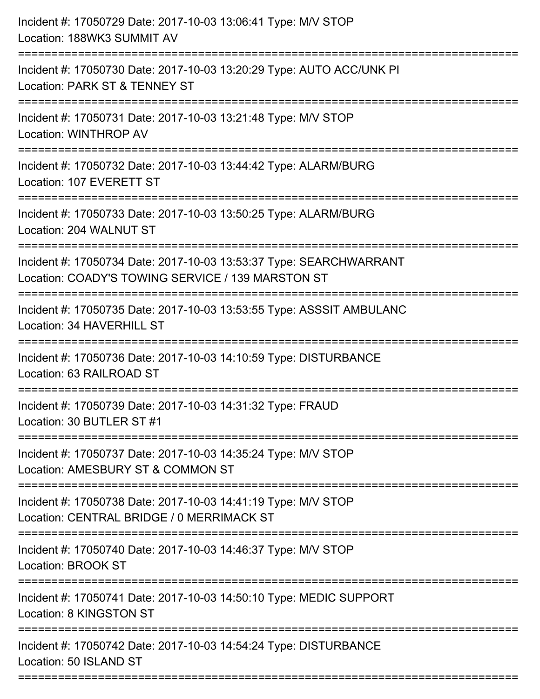| Incident #: 17050729 Date: 2017-10-03 13:06:41 Type: M/V STOP<br>Location: 188WK3 SUMMIT AV                             |
|-------------------------------------------------------------------------------------------------------------------------|
| Incident #: 17050730 Date: 2017-10-03 13:20:29 Type: AUTO ACC/UNK PI<br>Location: PARK ST & TENNEY ST                   |
| Incident #: 17050731 Date: 2017-10-03 13:21:48 Type: M/V STOP<br><b>Location: WINTHROP AV</b>                           |
| Incident #: 17050732 Date: 2017-10-03 13:44:42 Type: ALARM/BURG<br>Location: 107 EVERETT ST                             |
| Incident #: 17050733 Date: 2017-10-03 13:50:25 Type: ALARM/BURG<br>Location: 204 WALNUT ST                              |
| Incident #: 17050734 Date: 2017-10-03 13:53:37 Type: SEARCHWARRANT<br>Location: COADY'S TOWING SERVICE / 139 MARSTON ST |
| Incident #: 17050735 Date: 2017-10-03 13:53:55 Type: ASSSIT AMBULANC<br>Location: 34 HAVERHILL ST                       |
| Incident #: 17050736 Date: 2017-10-03 14:10:59 Type: DISTURBANCE<br>Location: 63 RAILROAD ST                            |
| Incident #: 17050739 Date: 2017-10-03 14:31:32 Type: FRAUD<br>Location: 30 BUTLER ST #1                                 |
| Incident #: 17050737 Date: 2017-10-03 14:35:24 Type: M/V STOP<br>Location: AMESBURY ST & COMMON ST                      |
| Incident #: 17050738 Date: 2017-10-03 14:41:19 Type: M/V STOP<br>Location: CENTRAL BRIDGE / 0 MERRIMACK ST              |
| Incident #: 17050740 Date: 2017-10-03 14:46:37 Type: M/V STOP<br><b>Location: BROOK ST</b>                              |
| Incident #: 17050741 Date: 2017-10-03 14:50:10 Type: MEDIC SUPPORT<br>Location: 8 KINGSTON ST                           |
| Incident #: 17050742 Date: 2017-10-03 14:54:24 Type: DISTURBANCE<br>Location: 50 ISLAND ST                              |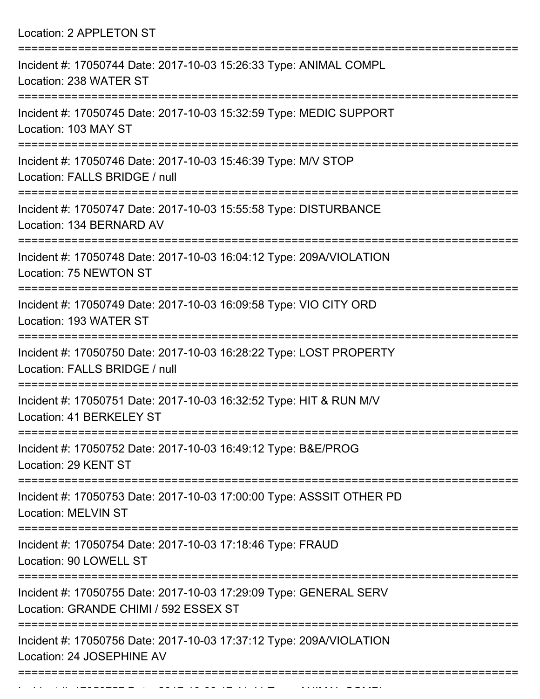Location: 2 APPLETON ST

| Incident #: 17050744 Date: 2017-10-03 15:26:33 Type: ANIMAL COMPL<br>Location: 238 WATER ST                                     |
|---------------------------------------------------------------------------------------------------------------------------------|
| Incident #: 17050745 Date: 2017-10-03 15:32:59 Type: MEDIC SUPPORT<br>Location: 103 MAY ST                                      |
| Incident #: 17050746 Date: 2017-10-03 15:46:39 Type: M/V STOP<br>Location: FALLS BRIDGE / null                                  |
| Incident #: 17050747 Date: 2017-10-03 15:55:58 Type: DISTURBANCE<br>Location: 134 BERNARD AV                                    |
| Incident #: 17050748 Date: 2017-10-03 16:04:12 Type: 209A/VIOLATION<br>Location: 75 NEWTON ST                                   |
| Incident #: 17050749 Date: 2017-10-03 16:09:58 Type: VIO CITY ORD<br>Location: 193 WATER ST                                     |
| Incident #: 17050750 Date: 2017-10-03 16:28:22 Type: LOST PROPERTY<br>Location: FALLS BRIDGE / null                             |
| Incident #: 17050751 Date: 2017-10-03 16:32:52 Type: HIT & RUN M/V<br>Location: 41 BERKELEY ST                                  |
| Incident #: 17050752 Date: 2017-10-03 16:49:12 Type: B&E/PROG<br>Location: 29 KENT ST                                           |
| =========================<br>Incident #: 17050753 Date: 2017-10-03 17:00:00 Type: ASSSIT OTHER PD<br><b>Location: MELVIN ST</b> |
| Incident #: 17050754 Date: 2017-10-03 17:18:46 Type: FRAUD<br>Location: 90 LOWELL ST                                            |
| Incident #: 17050755 Date: 2017-10-03 17:29:09 Type: GENERAL SERV<br>Location: GRANDE CHIMI / 592 ESSEX ST                      |
| Incident #: 17050756 Date: 2017-10-03 17:37:12 Type: 209A/VIOLATION<br>Location: 24 JOSEPHINE AV                                |
|                                                                                                                                 |

Incident #: 17050757 Date: 2017 10 03 17:41:41 Type: ANIMAL COMPL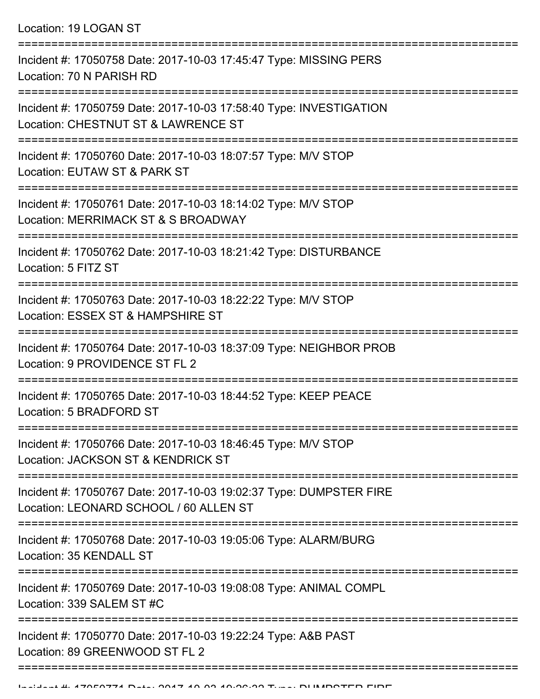Location: 19 LOGAN ST

| Incident #: 17050758 Date: 2017-10-03 17:45:47 Type: MISSING PERS<br>Location: 70 N PARISH RD                         |
|-----------------------------------------------------------------------------------------------------------------------|
| Incident #: 17050759 Date: 2017-10-03 17:58:40 Type: INVESTIGATION<br>Location: CHESTNUT ST & LAWRENCE ST             |
| Incident #: 17050760 Date: 2017-10-03 18:07:57 Type: M/V STOP<br>Location: EUTAW ST & PARK ST                         |
| Incident #: 17050761 Date: 2017-10-03 18:14:02 Type: M/V STOP<br>Location: MERRIMACK ST & S BROADWAY                  |
| Incident #: 17050762 Date: 2017-10-03 18:21:42 Type: DISTURBANCE<br>Location: 5 FITZ ST                               |
| Incident #: 17050763 Date: 2017-10-03 18:22:22 Type: M/V STOP<br>Location: ESSEX ST & HAMPSHIRE ST                    |
| Incident #: 17050764 Date: 2017-10-03 18:37:09 Type: NEIGHBOR PROB<br>Location: 9 PROVIDENCE ST FL 2                  |
| Incident #: 17050765 Date: 2017-10-03 18:44:52 Type: KEEP PEACE<br>Location: 5 BRADFORD ST                            |
| Incident #: 17050766 Date: 2017-10-03 18:46:45 Type: M/V STOP<br>Location: JACKSON ST & KENDRICK ST                   |
| Incident #: 17050767 Date: 2017-10-03 19:02:37 Type: DUMPSTER FIRE<br>Location: LEONARD SCHOOL / 60 ALLEN ST          |
| Incident #: 17050768 Date: 2017-10-03 19:05:06 Type: ALARM/BURG<br>Location: 35 KENDALL ST                            |
| :==================<br>Incident #: 17050769 Date: 2017-10-03 19:08:08 Type: ANIMAL COMPL<br>Location: 339 SALEM ST #C |
| Incident #: 17050770 Date: 2017-10-03 19:22:24 Type: A&B PAST<br>Location: 89 GREENWOOD ST FL 2                       |
|                                                                                                                       |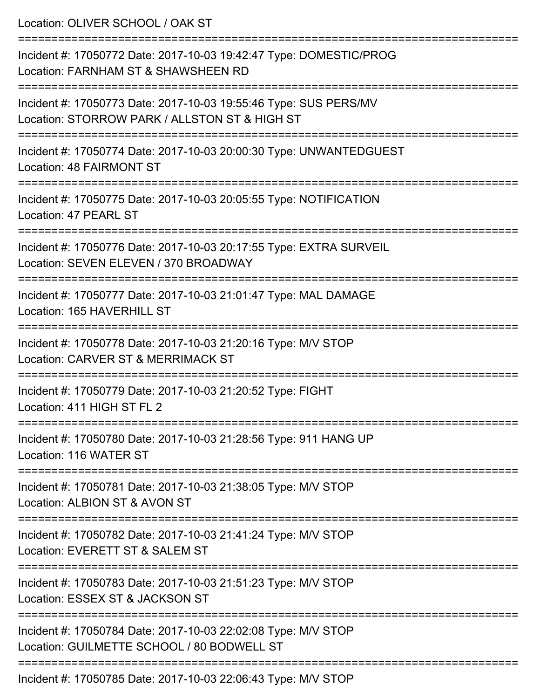| Location: OLIVER SCHOOL / OAK ST                                                                                                 |
|----------------------------------------------------------------------------------------------------------------------------------|
| Incident #: 17050772 Date: 2017-10-03 19:42:47 Type: DOMESTIC/PROG<br>Location: FARNHAM ST & SHAWSHEEN RD                        |
| Incident #: 17050773 Date: 2017-10-03 19:55:46 Type: SUS PERS/MV<br>Location: STORROW PARK / ALLSTON ST & HIGH ST                |
| Incident #: 17050774 Date: 2017-10-03 20:00:30 Type: UNWANTEDGUEST<br><b>Location: 48 FAIRMONT ST</b>                            |
| Incident #: 17050775 Date: 2017-10-03 20:05:55 Type: NOTIFICATION<br>Location: 47 PEARL ST                                       |
| Incident #: 17050776 Date: 2017-10-03 20:17:55 Type: EXTRA SURVEIL<br>Location: SEVEN ELEVEN / 370 BROADWAY                      |
| Incident #: 17050777 Date: 2017-10-03 21:01:47 Type: MAL DAMAGE<br>Location: 165 HAVERHILL ST                                    |
| Incident #: 17050778 Date: 2017-10-03 21:20:16 Type: M/V STOP<br>Location: CARVER ST & MERRIMACK ST                              |
| Incident #: 17050779 Date: 2017-10-03 21:20:52 Type: FIGHT<br>Location: 411 HIGH ST FL 2                                         |
| :=================================<br>Incident #: 17050780 Date: 2017-10-03 21:28:56 Type: 911 HANG UP<br>Location: 116 WATER ST |
| Incident #: 17050781 Date: 2017-10-03 21:38:05 Type: M/V STOP<br>Location: ALBION ST & AVON ST                                   |
| Incident #: 17050782 Date: 2017-10-03 21:41:24 Type: M/V STOP<br>Location: EVERETT ST & SALEM ST                                 |
| Incident #: 17050783 Date: 2017-10-03 21:51:23 Type: M/V STOP<br>Location: ESSEX ST & JACKSON ST                                 |
| Incident #: 17050784 Date: 2017-10-03 22:02:08 Type: M/V STOP<br>Location: GUILMETTE SCHOOL / 80 BODWELL ST                      |
| Incident #: 17050785 Date: 2017-10-03 22:06:43 Type: MAI STOP                                                                    |

Incident #: 17050785 Date: 2017-10-03 22:06:43 Type: M/V STOP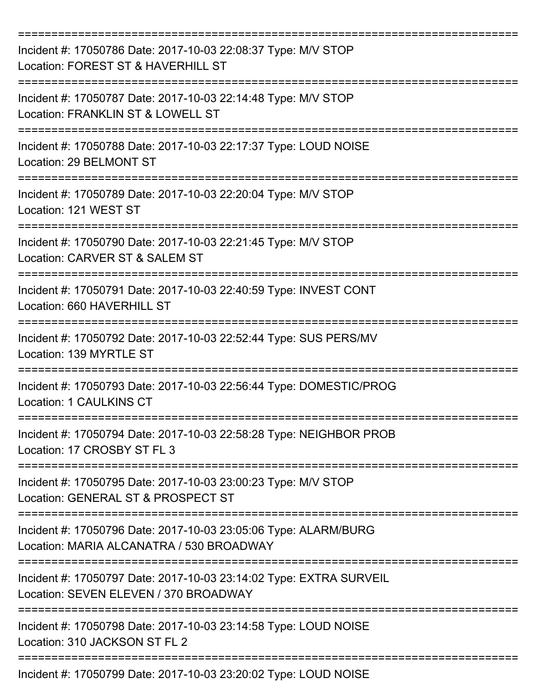| Incident #: 17050786 Date: 2017-10-03 22:08:37 Type: M/V STOP<br>Location: FOREST ST & HAVERHILL ST         |
|-------------------------------------------------------------------------------------------------------------|
| Incident #: 17050787 Date: 2017-10-03 22:14:48 Type: M/V STOP<br>Location: FRANKLIN ST & LOWELL ST          |
| Incident #: 17050788 Date: 2017-10-03 22:17:37 Type: LOUD NOISE<br>Location: 29 BELMONT ST                  |
| Incident #: 17050789 Date: 2017-10-03 22:20:04 Type: M/V STOP<br>Location: 121 WEST ST                      |
| Incident #: 17050790 Date: 2017-10-03 22:21:45 Type: M/V STOP<br>Location: CARVER ST & SALEM ST             |
| Incident #: 17050791 Date: 2017-10-03 22:40:59 Type: INVEST CONT<br>Location: 660 HAVERHILL ST              |
| Incident #: 17050792 Date: 2017-10-03 22:52:44 Type: SUS PERS/MV<br>Location: 139 MYRTLE ST                 |
| Incident #: 17050793 Date: 2017-10-03 22:56:44 Type: DOMESTIC/PROG<br>Location: 1 CAULKINS CT               |
| Incident #: 17050794 Date: 2017-10-03 22:58:28 Type: NEIGHBOR PROB<br>Location: 17 CROSBY ST FL 3           |
| Incident #: 17050795 Date: 2017-10-03 23:00:23 Type: M/V STOP<br>Location: GENERAL ST & PROSPECT ST         |
| Incident #: 17050796 Date: 2017-10-03 23:05:06 Type: ALARM/BURG<br>Location: MARIA ALCANATRA / 530 BROADWAY |
| Incident #: 17050797 Date: 2017-10-03 23:14:02 Type: EXTRA SURVEIL<br>Location: SEVEN ELEVEN / 370 BROADWAY |
| Incident #: 17050798 Date: 2017-10-03 23:14:58 Type: LOUD NOISE<br>Location: 310 JACKSON ST FL 2            |
| Incident #: 17050799 Date: 2017-10-03 23:20:02 Type: LOUD NOISE                                             |